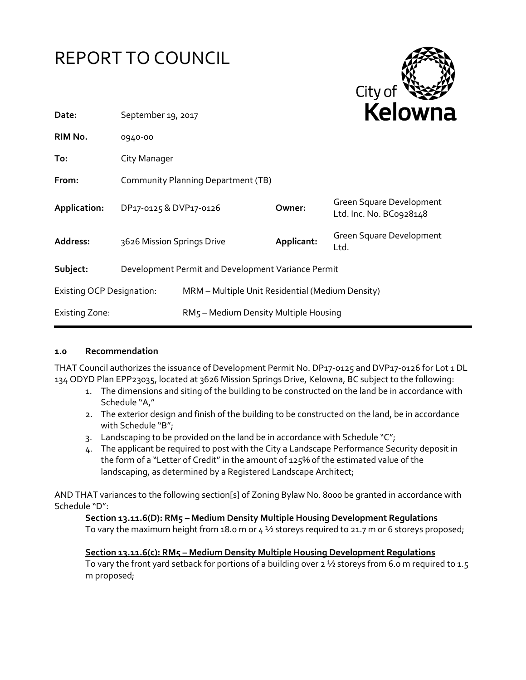



| Date:                                                          | September 19, 2017                 |                                                  |            | <b>NEIUWH</b>                                       |
|----------------------------------------------------------------|------------------------------------|--------------------------------------------------|------------|-----------------------------------------------------|
| RIM No.                                                        | 0940-00                            |                                                  |            |                                                     |
| To:                                                            | City Manager                       |                                                  |            |                                                     |
| From:                                                          | Community Planning Department (TB) |                                                  |            |                                                     |
| Application:                                                   | DP17-0125 & DVP17-0126             |                                                  | Owner:     | Green Square Development<br>Ltd. Inc. No. BC0928148 |
| Address:                                                       | 3626 Mission Springs Drive         |                                                  | Applicant: | Green Square Development<br>Ltd.                    |
| Subject:<br>Development Permit and Development Variance Permit |                                    |                                                  |            |                                                     |
| <b>Existing OCP Designation:</b>                               |                                    | MRM - Multiple Unit Residential (Medium Density) |            |                                                     |
| <b>Existing Zone:</b>                                          |                                    | RM5 - Medium Density Multiple Housing            |            |                                                     |

#### **1.0 Recommendation**

THAT Council authorizes the issuance of Development Permit No. DP17-0125 and DVP17-0126 for Lot 1 DL 134 ODYD Plan EPP23035, located at 3626 Mission Springs Drive, Kelowna, BC subject to the following:

- 1. The dimensions and siting of the building to be constructed on the land be in accordance with Schedule "A,"
- 2. The exterior design and finish of the building to be constructed on the land, be in accordance with Schedule "B";
- 3. Landscaping to be provided on the land be in accordance with Schedule "C";
- 4. The applicant be required to post with the City a Landscape Performance Security deposit in the form of a "Letter of Credit" in the amount of 125% of the estimated value of the landscaping, as determined by a Registered Landscape Architect;

AND THAT variances to the following section[s] of Zoning Bylaw No. 8000 be granted in accordance with Schedule "D":

#### **Section 13.11.6(D): RM5 – Medium Density Multiple Housing Development Regulations**

To vary the maximum height from 18.0 m or  $4\frac{1}{2}$  storeys required to 21.7 m or 6 storeys proposed;

**Section 13.11.6(c): RM5 – Medium Density Multiple Housing Development Regulations**  To vary the front yard setback for portions of a building over 2 1/2 storeys from 6.0 m required to 1.5 m proposed;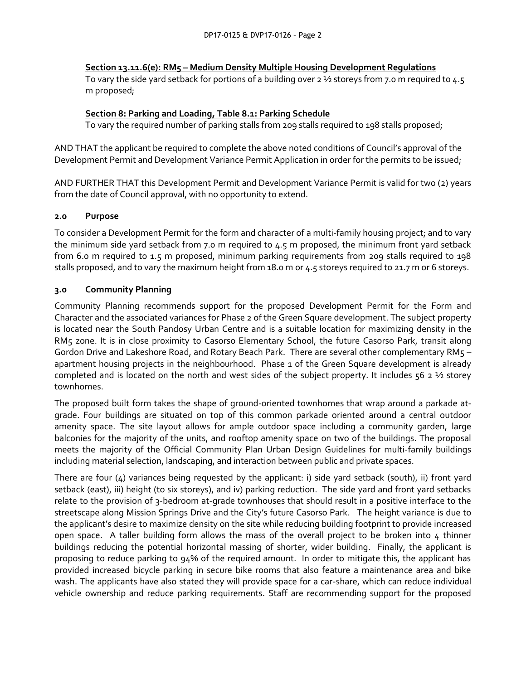# **Section 13.11.6(e): RM5 – Medium Density Multiple Housing Development Regulations**

To vary the side yard setback for portions of a building over 2 ½ storeys from 7.0 m required to 4.5 m proposed;

# **Section 8: Parking and Loading, Table 8.1: Parking Schedule**

To vary the required number of parking stalls from 209 stalls required to 198 stalls proposed;

AND THAT the applicant be required to complete the above noted conditions of Council's approval of the Development Permit and Development Variance Permit Application in order for the permits to be issued;

AND FURTHER THAT this Development Permit and Development Variance Permit is valid for two (2) years from the date of Council approval, with no opportunity to extend.

# **2.0 Purpose**

To consider a Development Permit for the form and character of a multi-family housing project; and to vary the minimum side yard setback from 7.0 m required to 4.5 m proposed, the minimum front yard setback from 6.0 m required to 1.5 m proposed, minimum parking requirements from 209 stalls required to 198 stalls proposed, and to vary the maximum height from 18.0 m or 4.5 storeys required to 21.7 m or 6 storeys.

# **3.0 Community Planning**

Community Planning recommends support for the proposed Development Permit for the Form and Character and the associated variances for Phase 2 of the Green Square development. The subject property is located near the South Pandosy Urban Centre and is a suitable location for maximizing density in the RM5 zone. It is in close proximity to Casorso Elementary School, the future Casorso Park, transit along Gordon Drive and Lakeshore Road, and Rotary Beach Park. There are several other complementary RM5 – apartment housing projects in the neighbourhood. Phase 1 of the Green Square development is already completed and is located on the north and west sides of the subject property. It includes 56 2  $\frac{1}{2}$  storey townhomes.

The proposed built form takes the shape of ground-oriented townhomes that wrap around a parkade atgrade. Four buildings are situated on top of this common parkade oriented around a central outdoor amenity space. The site layout allows for ample outdoor space including a community garden, large balconies for the majority of the units, and rooftop amenity space on two of the buildings. The proposal meets the majority of the Official Community Plan Urban Design Guidelines for multi-family buildings including material selection, landscaping, and interaction between public and private spaces.

There are four (4) variances being requested by the applicant: i) side yard setback (south), ii) front yard setback (east), iii) height (to six storeys), and iv) parking reduction. The side yard and front yard setbacks relate to the provision of 3-bedroom at-grade townhouses that should result in a positive interface to the streetscape along Mission Springs Drive and the City's future Casorso Park. The height variance is due to the applicant's desire to maximize density on the site while reducing building footprint to provide increased open space. A taller building form allows the mass of the overall project to be broken into  $4$  thinner buildings reducing the potential horizontal massing of shorter, wider building. Finally, the applicant is proposing to reduce parking to 94% of the required amount. In order to mitigate this, the applicant has provided increased bicycle parking in secure bike rooms that also feature a maintenance area and bike wash. The applicants have also stated they will provide space for a car-share, which can reduce individual vehicle ownership and reduce parking requirements. Staff are recommending support for the proposed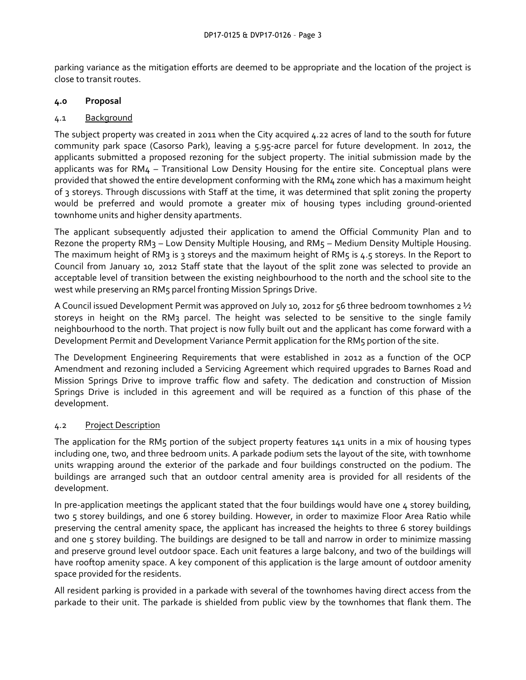parking variance as the mitigation efforts are deemed to be appropriate and the location of the project is close to transit routes.

# **4.0 Proposal**

### 4.1 Background

The subject property was created in 2011 when the City acquired 4.22 acres of land to the south for future community park space (Casorso Park), leaving a 5.95-acre parcel for future development. In 2012, the applicants submitted a proposed rezoning for the subject property. The initial submission made by the applicants was for RM4 – Transitional Low Density Housing for the entire site. Conceptual plans were provided that showed the entire development conforming with the RM4 zone which has a maximum height of 3 storeys. Through discussions with Staff at the time, it was determined that split zoning the property would be preferred and would promote a greater mix of housing types including ground-oriented townhome units and higher density apartments.

The applicant subsequently adjusted their application to amend the Official Community Plan and to Rezone the property RM3 – Low Density Multiple Housing, and RM5 – Medium Density Multiple Housing. The maximum height of RM3 is 3 storeys and the maximum height of RM5 is 4.5 storeys. In the Report to Council from January 10, 2012 Staff state that the layout of the split zone was selected to provide an acceptable level of transition between the existing neighbourhood to the north and the school site to the west while preserving an RM5 parcel fronting Mission Springs Drive.

A Council issued Development Permit was approved on July 10, 2012 for 56 three bedroom townhomes 2  $\frac{1}{2}$ storeys in height on the RM3 parcel. The height was selected to be sensitive to the single family neighbourhood to the north. That project is now fully built out and the applicant has come forward with a Development Permit and Development Variance Permit application for the RM5 portion of the site.

The Development Engineering Requirements that were established in 2012 as a function of the OCP Amendment and rezoning included a Servicing Agreement which required upgrades to Barnes Road and Mission Springs Drive to improve traffic flow and safety. The dedication and construction of Mission Springs Drive is included in this agreement and will be required as a function of this phase of the development.

# 4.2 Project Description

The application for the RM5 portion of the subject property features 141 units in a mix of housing types including one, two, and three bedroom units. A parkade podium sets the layout of the site, with townhome units wrapping around the exterior of the parkade and four buildings constructed on the podium. The buildings are arranged such that an outdoor central amenity area is provided for all residents of the development.

In pre-application meetings the applicant stated that the four buildings would have one 4 storey building, two 5 storey buildings, and one 6 storey building. However, in order to maximize Floor Area Ratio while preserving the central amenity space, the applicant has increased the heights to three 6 storey buildings and one 5 storey building. The buildings are designed to be tall and narrow in order to minimize massing and preserve ground level outdoor space. Each unit features a large balcony, and two of the buildings will have rooftop amenity space. A key component of this application is the large amount of outdoor amenity space provided for the residents.

All resident parking is provided in a parkade with several of the townhomes having direct access from the parkade to their unit. The parkade is shielded from public view by the townhomes that flank them. The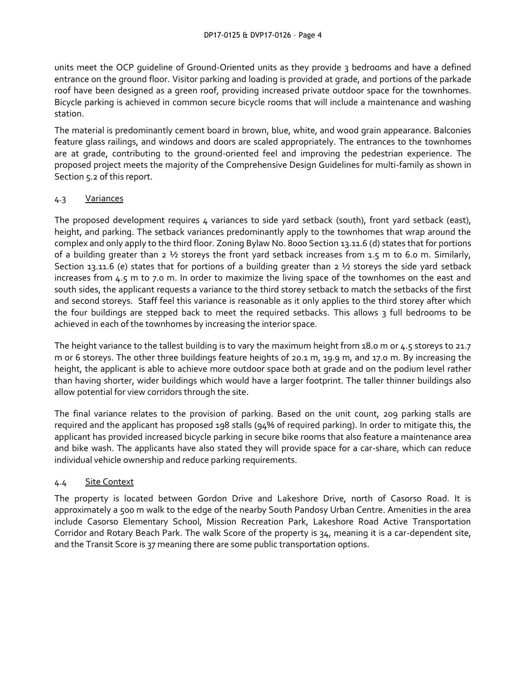units meet the OCP guideline of Ground-Oriented units as they provide 3 bedrooms and have a defined entrance on the ground floor. Visitor parking and loading is provided at grade, and portions of the parkade roof have been designed as a green roof, providing increased private outdoor space for the townhomes. Bicycle parking is achieved in common secure bicycle rooms that will include a maintenance and washing station.

The material is predominantly cement board in brown, blue, white, and wood grain appearance. Balconies feature glass railings, and windows and doors are scaled appropriately. The entrances to the townhomes are at grade, contributing to the ground-oriented feel and improving the pedestrian experience. The proposed project meets the majority of the Comprehensive Design Guidelines for multi-family as shown in Section 5.2 of this report.

# 4.3 Variances

The proposed development requires 4 variances to side yard setback (south), front yard setback (east), height, and parking. The setback variances predominantly apply to the townhomes that wrap around the complex and only apply to the third floor. Zoning Bylaw No. 8000 Section 13.11.6 (d) states that for portions of a building greater than 2 ½ storeys the front yard setback increases from 1.5 m to 6.0 m. Similarly, Section 13.11.6 (e) states that for portions of a building greater than  $2 \frac{1}{2}$  storeys the side yard setback increases from 4.5 m to 7.0 m. In order to maximize the living space of the townhomes on the east and south sides, the applicant requests a variance to the third storey setback to match the setbacks of the first and second storeys. Staff feel this variance is reasonable as it only applies to the third storey after which the four buildings are stepped back to meet the required setbacks. This allows 3 full bedrooms to be achieved in each of the townhomes by increasing the interior space.

The height variance to the tallest building is to vary the maximum height from 18.0 m or 4.5 storeys to 21.7 m or 6 storeys. The other three buildings feature heights of 20.1 m, 19.9 m, and 17.0 m. By increasing the height, the applicant is able to achieve more outdoor space both at grade and on the podium level rather than having shorter, wider buildings which would have a larger footprint. The taller thinner buildings also allow potential for view corridors through the site.

The final variance relates to the provision of parking. Based on the unit count, 209 parking stalls are required and the applicant has proposed 198 stalls (94% of required parking). In order to mitigate this, the applicant has provided increased bicycle parking in secure bike rooms that also feature a maintenance area and bike wash. The applicants have also stated they will provide space for a car-share, which can reduce individual vehicle ownership and reduce parking requirements.

# 4.4 Site Context

The property is located between Gordon Drive and Lakeshore Drive, north of Casorso Road. It is approximately a 500 m walk to the edge of the nearby South Pandosy Urban Centre. Amenities in the area include Casorso Elementary School, Mission Recreation Park, Lakeshore Road Active Transportation Corridor and Rotary Beach Park. The walk Score of the property is 34, meaning it is a car-dependent site, and the Transit Score is 37 meaning there are some public transportation options.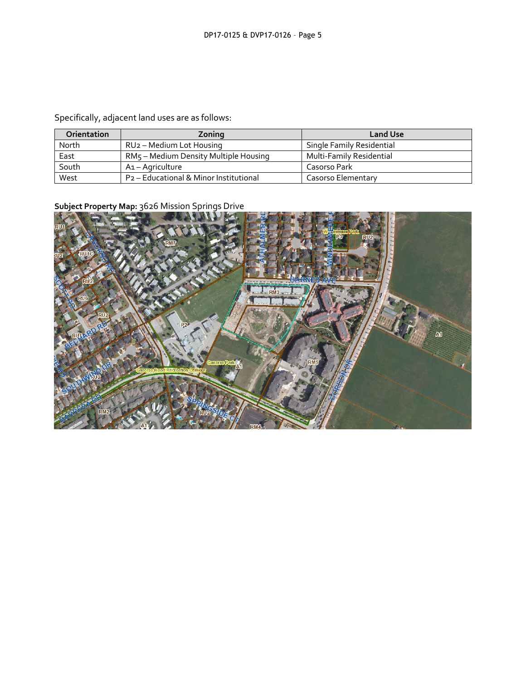Specifically, adjacent land uses are as follows:

| Orientation | Zoning                                 | <b>Land Use</b>           |
|-------------|----------------------------------------|---------------------------|
| North       | RU2 - Medium Lot Housing               | Single Family Residential |
| East        | RM5 - Medium Density Multiple Housing  | Multi-Family Residential  |
| South       | A1 - Agriculture                       | Casorso Park              |
| West        | P2 - Educational & Minor Institutional | Casorso Elementary        |

# **Subject Property Map:** 3626 Mission Springs Drive

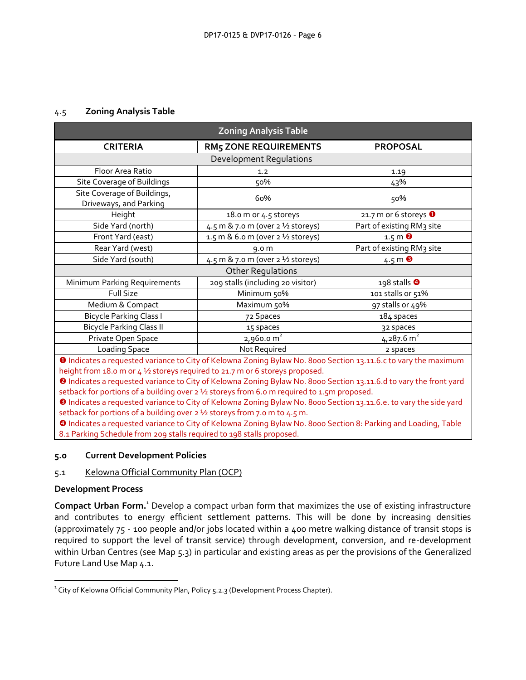#### 4.5 **Zoning Analysis Table**

| <b>Zoning Analysis Table</b>                          |                                                                 |                                               |  |  |
|-------------------------------------------------------|-----------------------------------------------------------------|-----------------------------------------------|--|--|
| <b>CRITERIA</b>                                       | <b>RM5 ZONE REQUIREMENTS</b>                                    | <b>PROPOSAL</b>                               |  |  |
| <b>Development Regulations</b>                        |                                                                 |                                               |  |  |
| Floor Area Ratio                                      | 1.2                                                             | 1.19                                          |  |  |
| Site Coverage of Buildings                            | 50%                                                             | 43%                                           |  |  |
| Site Coverage of Buildings,<br>Driveways, and Parking | 60%                                                             | 50%                                           |  |  |
| Height                                                | 18.0 m or 4.5 storeys                                           | 21.7 m or 6 storeys $\bullet$                 |  |  |
| Side Yard (north)                                     | 4.5 m & 7.0 m (over 2 1/2 storeys)<br>Part of existing RM3 site |                                               |  |  |
| Front Yard (east)                                     | 1.5 m & 6.0 m (over 2 1/2 storeys)                              | $1.5 \text{ m}$ <sup><math>\odot</math></sup> |  |  |
| Rear Yard (west)<br>9.0 <sub>m</sub>                  |                                                                 | Part of existing RM3 site                     |  |  |
| Side Yard (south)                                     | 4.5 m & 7.0 m (over 2 1/2 storeys)                              | 4.5 m $\bullet$                               |  |  |
| <b>Other Regulations</b>                              |                                                                 |                                               |  |  |
| Minimum Parking Requirements                          | 209 stalls (including 20 visitor)                               | 198 stalls $\Theta$                           |  |  |
| <b>Full Size</b>                                      | Minimum 50%                                                     | 101 stalls or 51%                             |  |  |
| Medium & Compact                                      | Maximum 50%                                                     | 97 stalls or 49%                              |  |  |
| <b>Bicycle Parking Class I</b>                        | 72 Spaces                                                       | 184 spaces                                    |  |  |
| <b>Bicycle Parking Class II</b><br>15 spaces          |                                                                 | 32 spaces                                     |  |  |
| Private Open Space                                    | $2,960.0 \text{ m}^2$                                           | $4,287.6$ m <sup>2</sup>                      |  |  |
| Loading Space                                         | Not Required                                                    | 2 spaces                                      |  |  |

**O** Indicates a requested variance to City of Kelowna Zoning Bylaw No. 8000 Section 13.11.6.c to vary the maximum height from 18.0 m or 4 ½ storeys required to 21.7 m or 6 storeys proposed.

 Indicates a requested variance to City of Kelowna Zoning Bylaw No. 8000 Section 13.11.6.d to vary the front yard setback for portions of a building over 2 ½ storeys from 6.0 m required to 1.5m proposed.

 Indicates a requested variance to City of Kelowna Zoning Bylaw No. 8000 Section 13.11.6.e. to vary the side yard setback for portions of a building over  $2\frac{1}{2}$  storeys from 7.0 m to 4.5 m.

 Indicates a requested variance to City of Kelowna Zoning Bylaw No. 8000 Section 8: Parking and Loading, Table 8.1 Parking Schedule from 209 stalls required to 198 stalls proposed.

#### **5.0 Current Development Policies**

#### 5.1 Kelowna Official Community Plan (OCP)

#### **Development Process**

1

**Compact Urban Form.**<sup>1</sup> Develop a compact urban form that maximizes the use of existing infrastructure and contributes to energy efficient settlement patterns. This will be done by increasing densities (approximately 75 - 100 people and/or jobs located within a 400 metre walking distance of transit stops is required to support the level of transit service) through development, conversion, and re-development within Urban Centres (see Map 5.3) in particular and existing areas as per the provisions of the Generalized Future Land Use Map 4.1.

 $^1$  City of Kelowna Official Community Plan, Policy 5.2.3 (Development Process Chapter).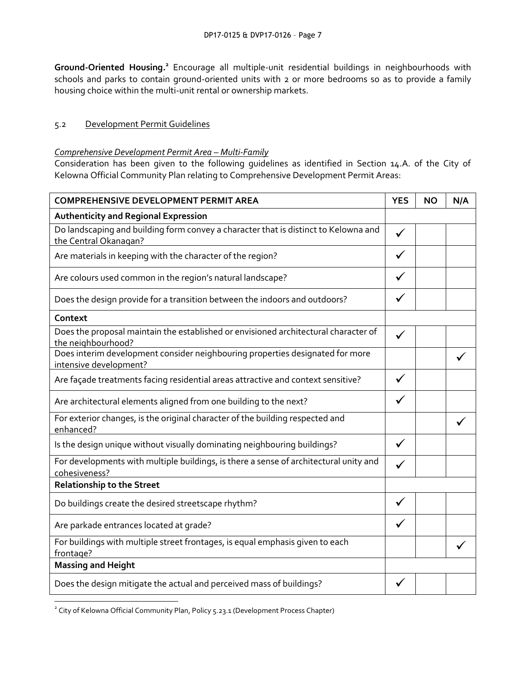Ground-Oriented Housing.<sup>2</sup> Encourage all multiple-unit residential buildings in neighbourhoods with schools and parks to contain ground-oriented units with 2 or more bedrooms so as to provide a family housing choice within the multi-unit rental or ownership markets.

#### 5.2 Development Permit Guidelines

#### *Comprehensive Development Permit Area – Multi-Family*

Consideration has been given to the following guidelines as identified in Section 14.A. of the City of Kelowna Official Community Plan relating to Comprehensive Development Permit Areas:

| <b>COMPREHENSIVE DEVELOPMENT PERMIT AREA</b>                                                                 | <b>YES</b>   | <b>NO</b> | N/A |
|--------------------------------------------------------------------------------------------------------------|--------------|-----------|-----|
| <b>Authenticity and Regional Expression</b>                                                                  |              |           |     |
| Do landscaping and building form convey a character that is distinct to Kelowna and<br>the Central Okanagan? | $\checkmark$ |           |     |
| Are materials in keeping with the character of the region?                                                   |              |           |     |
| Are colours used common in the region's natural landscape?                                                   |              |           |     |
| Does the design provide for a transition between the indoors and outdoors?                                   |              |           |     |
| Context                                                                                                      |              |           |     |
| Does the proposal maintain the established or envisioned architectural character of<br>the neighbourhood?    | $\checkmark$ |           |     |
| Does interim development consider neighbouring properties designated for more<br>intensive development?      |              |           |     |
| Are façade treatments facing residential areas attractive and context sensitive?                             | ✓            |           |     |
| Are architectural elements aligned from one building to the next?                                            |              |           |     |
| For exterior changes, is the original character of the building respected and<br>enhanced?                   |              |           |     |
| Is the design unique without visually dominating neighbouring buildings?                                     | ✓            |           |     |
| For developments with multiple buildings, is there a sense of architectural unity and<br>cohesiveness?       |              |           |     |
| <b>Relationship to the Street</b>                                                                            |              |           |     |
| Do buildings create the desired streetscape rhythm?                                                          |              |           |     |
| Are parkade entrances located at grade?                                                                      |              |           |     |
| For buildings with multiple street frontages, is equal emphasis given to each<br>frontage?                   |              |           |     |
| <b>Massing and Height</b>                                                                                    |              |           |     |
| Does the design mitigate the actual and perceived mass of buildings?                                         |              |           |     |

<sup>&</sup>lt;sup>2</sup> City of Kelowna Official Community Plan, Policy 5.23.1 (Development Process Chapter)

1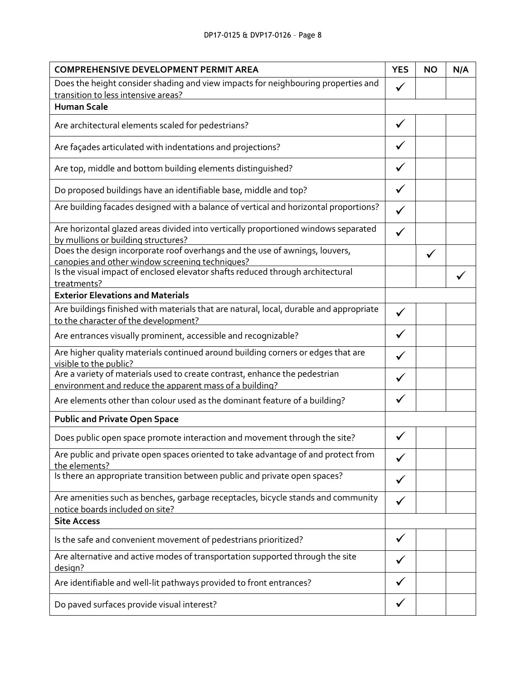| <b>COMPREHENSIVE DEVELOPMENT PERMIT AREA</b>                                                                                   |              | <b>NO</b> | N/A |
|--------------------------------------------------------------------------------------------------------------------------------|--------------|-----------|-----|
| Does the height consider shading and view impacts for neighbouring properties and                                              | $\checkmark$ |           |     |
| transition to less intensive areas?<br><b>Human Scale</b>                                                                      |              |           |     |
|                                                                                                                                |              |           |     |
| Are architectural elements scaled for pedestrians?                                                                             | ✓            |           |     |
| Are façades articulated with indentations and projections?                                                                     |              |           |     |
| Are top, middle and bottom building elements distinguished?                                                                    | ✓            |           |     |
| Do proposed buildings have an identifiable base, middle and top?                                                               | $\checkmark$ |           |     |
| Are building facades designed with a balance of vertical and horizontal proportions?                                           | $\checkmark$ |           |     |
| Are horizontal glazed areas divided into vertically proportioned windows separated<br>by mullions or building structures?      | ✓            |           |     |
| Does the design incorporate roof overhangs and the use of awnings, louvers,<br>canopies and other window screening techniques? |              |           |     |
| Is the visual impact of enclosed elevator shafts reduced through architectural<br>treatments?                                  |              |           |     |
| <b>Exterior Elevations and Materials</b>                                                                                       |              |           |     |
| Are buildings finished with materials that are natural, local, durable and appropriate<br>to the character of the development? | $\checkmark$ |           |     |
| Are entrances visually prominent, accessible and recognizable?                                                                 |              |           |     |
| Are higher quality materials continued around building corners or edges that are<br>visible to the public?                     | ✓            |           |     |
| Are a variety of materials used to create contrast, enhance the pedestrian                                                     |              |           |     |
| environment and reduce the apparent mass of a building?                                                                        |              |           |     |
| Are elements other than colour used as the dominant feature of a building?                                                     | ✓            |           |     |
| <b>Public and Private Open Space</b>                                                                                           |              |           |     |
| Does public open space promote interaction and movement through the site?                                                      |              |           |     |
| Are public and private open spaces oriented to take advantage of and protect from<br>the elements?                             |              |           |     |
| Is there an appropriate transition between public and private open spaces?                                                     |              |           |     |
| Are amenities such as benches, garbage receptacles, bicycle stands and community<br>notice boards included on site?            |              |           |     |
| <b>Site Access</b>                                                                                                             |              |           |     |
| Is the safe and convenient movement of pedestrians prioritized?                                                                |              |           |     |
| Are alternative and active modes of transportation supported through the site<br>design?                                       |              |           |     |
| Are identifiable and well-lit pathways provided to front entrances?                                                            |              |           |     |
| Do paved surfaces provide visual interest?                                                                                     |              |           |     |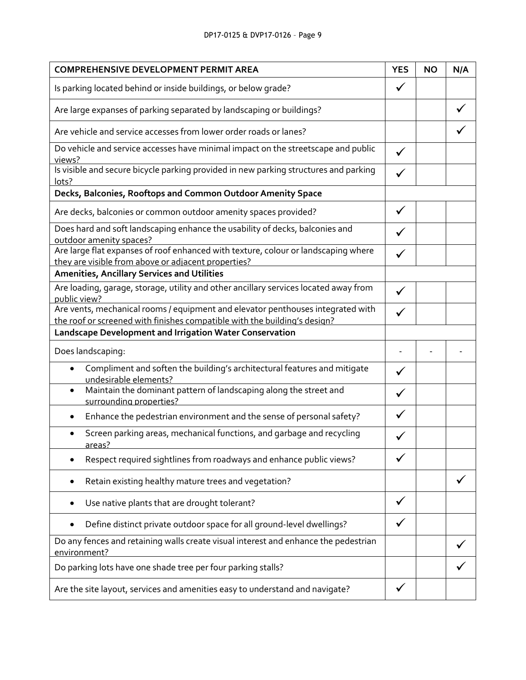# DP17-0125 & DVP17-0126 – Page 9

| <b>COMPREHENSIVE DEVELOPMENT PERMIT AREA</b>                                                                                                                 | <b>YES</b>   | <b>NO</b> | N/A |
|--------------------------------------------------------------------------------------------------------------------------------------------------------------|--------------|-----------|-----|
| Is parking located behind or inside buildings, or below grade?                                                                                               |              |           |     |
| Are large expanses of parking separated by landscaping or buildings?                                                                                         |              |           |     |
| Are vehicle and service accesses from lower order roads or lanes?                                                                                            |              |           |     |
| Do vehicle and service accesses have minimal impact on the streetscape and public<br>views?                                                                  | $\checkmark$ |           |     |
| Is visible and secure bicycle parking provided in new parking structures and parking<br>lots?                                                                |              |           |     |
| Decks, Balconies, Rooftops and Common Outdoor Amenity Space                                                                                                  |              |           |     |
| Are decks, balconies or common outdoor amenity spaces provided?                                                                                              | $\checkmark$ |           |     |
| Does hard and soft landscaping enhance the usability of decks, balconies and<br>outdoor amenity spaces?                                                      |              |           |     |
| Are large flat expanses of roof enhanced with texture, colour or landscaping where<br>they are visible from above or adjacent properties?                    |              |           |     |
| <b>Amenities, Ancillary Services and Utilities</b>                                                                                                           |              |           |     |
| Are loading, garage, storage, utility and other ancillary services located away from<br>public view?                                                         | ✓            |           |     |
| Are vents, mechanical rooms / equipment and elevator penthouses integrated with<br>the roof or screened with finishes compatible with the building's design? |              |           |     |
| Landscape Development and Irrigation Water Conservation                                                                                                      |              |           |     |
| Does landscaping:                                                                                                                                            |              |           |     |
| Compliment and soften the building's architectural features and mitigate<br>$\bullet$<br>undesirable elements?                                               | ✓            |           |     |
| Maintain the dominant pattern of landscaping along the street and<br>$\bullet$<br>surrounding properties?                                                    |              |           |     |
| Enhance the pedestrian environment and the sense of personal safety?                                                                                         |              |           |     |
| Screen parking areas, mechanical functions, and garbage and recycling<br>areas?                                                                              |              |           |     |
| Respect required sightlines from roadways and enhance public views?                                                                                          |              |           |     |
| Retain existing healthy mature trees and vegetation?                                                                                                         |              |           |     |
| Use native plants that are drought tolerant?                                                                                                                 | ✓            |           |     |
| Define distinct private outdoor space for all ground-level dwellings?                                                                                        |              |           |     |
| Do any fences and retaining walls create visual interest and enhance the pedestrian<br>environment?                                                          |              |           |     |
| Do parking lots have one shade tree per four parking stalls?                                                                                                 |              |           |     |
| Are the site layout, services and amenities easy to understand and navigate?                                                                                 |              |           |     |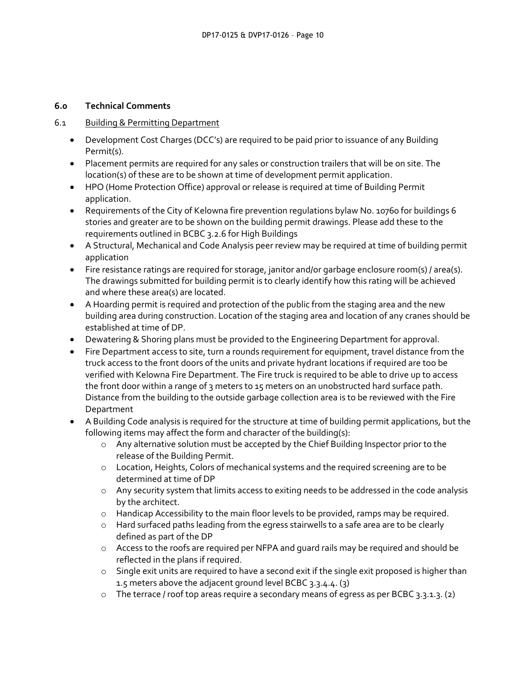# **6.0 Technical Comments**

# 6.1 Building & Permitting Department

- Development Cost Charges (DCC's) are required to be paid prior to issuance of any Building Permit(s).
- Placement permits are required for any sales or construction trailers that will be on site. The location(s) of these are to be shown at time of development permit application.
- HPO (Home Protection Office) approval or release is required at time of Building Permit application.
- Requirements of the City of Kelowna fire prevention regulations bylaw No. 10760 for buildings 6 stories and greater are to be shown on the building permit drawings. Please add these to the requirements outlined in BCBC 3.2.6 for High Buildings
- A Structural, Mechanical and Code Analysis peer review may be required at time of building permit application
- Fire resistance ratings are required for storage, janitor and/or garbage enclosure room(s) / area(s). The drawings submitted for building permit is to clearly identify how this rating will be achieved and where these area(s) are located.
- A Hoarding permit is required and protection of the public from the staging area and the new building area during construction. Location of the staging area and location of any cranes should be established at time of DP.
- Dewatering & Shoring plans must be provided to the Engineering Department for approval.
- Fire Department access to site, turn a rounds requirement for equipment, travel distance from the truck access to the front doors of the units and private hydrant locations if required are too be verified with Kelowna Fire Department. The Fire truck is required to be able to drive up to access the front door within a range of 3 meters to 15 meters on an unobstructed hard surface path. Distance from the building to the outside garbage collection area is to be reviewed with the Fire Department
- A Building Code analysis is required for the structure at time of building permit applications, but the following items may affect the form and character of the building(s):
	- o Any alternative solution must be accepted by the Chief Building Inspector prior to the release of the Building Permit.
	- o Location, Heights, Colors of mechanical systems and the required screening are to be determined at time of DP
	- o Any security system that limits access to exiting needs to be addressed in the code analysis by the architect.
	- $\circ$  Handicap Accessibility to the main floor levels to be provided, ramps may be required.
	- o Hard surfaced paths leading from the egress stairwells to a safe area are to be clearly defined as part of the DP
	- o Access to the roofs are required per NFPA and guard rails may be required and should be reflected in the plans if required.
	- o Single exit units are required to have a second exit if the single exit proposed is higher than 1.5 meters above the adjacent ground level BCBC 3.3.4.4. (3)
	- $\circ$  The terrace / roof top areas require a secondary means of egress as per BCBC 3.3.1.3. (2)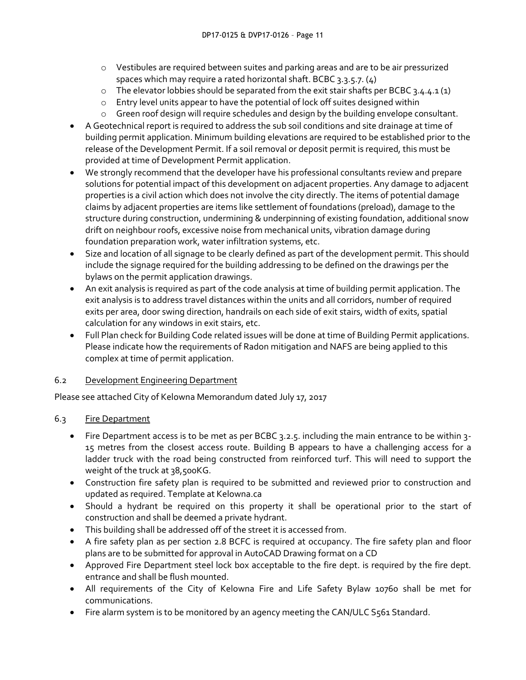- o Vestibules are required between suites and parking areas and are to be air pressurized spaces which may require a rated horizontal shaft. BCBC 3.3.5.7. (4)
- $\circ$  The elevator lobbies should be separated from the exit stair shafts per BCBC 3.4.4.1 (1)
- o Entry level units appear to have the potential of lock off suites designed within
- o Green roof design will require schedules and design by the building envelope consultant.
- A Geotechnical report is required to address the sub soil conditions and site drainage at time of building permit application. Minimum building elevations are required to be established prior to the release of the Development Permit. If a soil removal or deposit permit is required, this must be provided at time of Development Permit application.
- We strongly recommend that the developer have his professional consultants review and prepare solutions for potential impact of this development on adjacent properties. Any damage to adjacent properties is a civil action which does not involve the city directly. The items of potential damage claims by adjacent properties are items like settlement of foundations (preload), damage to the structure during construction, undermining & underpinning of existing foundation, additional snow drift on neighbour roofs, excessive noise from mechanical units, vibration damage during foundation preparation work, water infiltration systems, etc.
- Size and location of all signage to be clearly defined as part of the development permit. This should include the signage required for the building addressing to be defined on the drawings per the bylaws on the permit application drawings.
- An exit analysis is required as part of the code analysis at time of building permit application. The exit analysis is to address travel distances within the units and all corridors, number of required exits per area, door swing direction, handrails on each side of exit stairs, width of exits, spatial calculation for any windows in exit stairs, etc.
- Full Plan check for Building Code related issues will be done at time of Building Permit applications. Please indicate how the requirements of Radon mitigation and NAFS are being applied to this complex at time of permit application.

# 6.2 Development Engineering Department

Please see attached City of Kelowna Memorandum dated July 17, 2017

# 6.3 Fire Department

- Fire Department access is to be met as per BCBC 3.2.5. including the main entrance to be within 3- 15 metres from the closest access route. Building B appears to have a challenging access for a ladder truck with the road being constructed from reinforced turf. This will need to support the weight of the truck at 38,500KG.
- Construction fire safety plan is required to be submitted and reviewed prior to construction and updated as required. Template at Kelowna.ca
- Should a hydrant be required on this property it shall be operational prior to the start of construction and shall be deemed a private hydrant.
- This building shall be addressed off of the street it is accessed from.
- A fire safety plan as per section 2.8 BCFC is required at occupancy. The fire safety plan and floor plans are to be submitted for approval in AutoCAD Drawing format on a CD
- Approved Fire Department steel lock box acceptable to the fire dept. is required by the fire dept. entrance and shall be flush mounted.
- All requirements of the City of Kelowna Fire and Life Safety Bylaw 10760 shall be met for communications.
- Fire alarm system is to be monitored by an agency meeting the CAN/ULC S561 Standard.